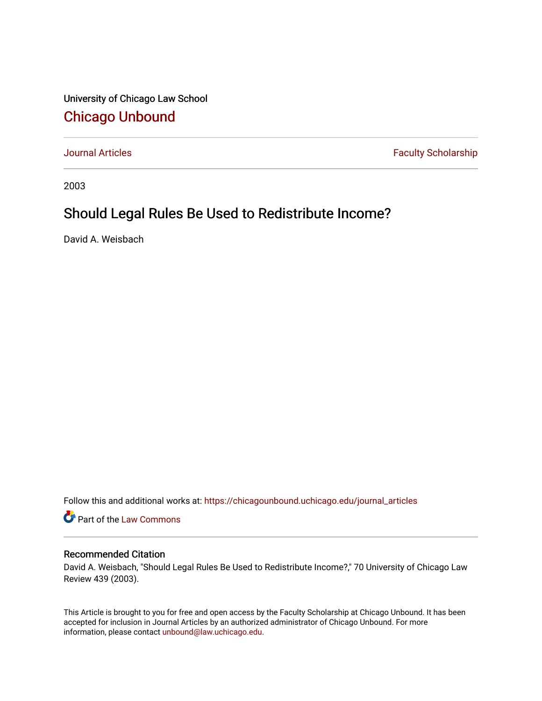University of Chicago Law School [Chicago Unbound](https://chicagounbound.uchicago.edu/)

[Journal Articles](https://chicagounbound.uchicago.edu/journal_articles) **Faculty Scholarship Faculty Scholarship** 

2003

# Should Legal Rules Be Used to Redistribute Income?

David A. Weisbach

Follow this and additional works at: [https://chicagounbound.uchicago.edu/journal\\_articles](https://chicagounbound.uchicago.edu/journal_articles?utm_source=chicagounbound.uchicago.edu%2Fjournal_articles%2F6497&utm_medium=PDF&utm_campaign=PDFCoverPages) 

Part of the [Law Commons](http://network.bepress.com/hgg/discipline/578?utm_source=chicagounbound.uchicago.edu%2Fjournal_articles%2F6497&utm_medium=PDF&utm_campaign=PDFCoverPages)

### Recommended Citation

David A. Weisbach, "Should Legal Rules Be Used to Redistribute Income?," 70 University of Chicago Law Review 439 (2003).

This Article is brought to you for free and open access by the Faculty Scholarship at Chicago Unbound. It has been accepted for inclusion in Journal Articles by an authorized administrator of Chicago Unbound. For more information, please contact [unbound@law.uchicago.edu](mailto:unbound@law.uchicago.edu).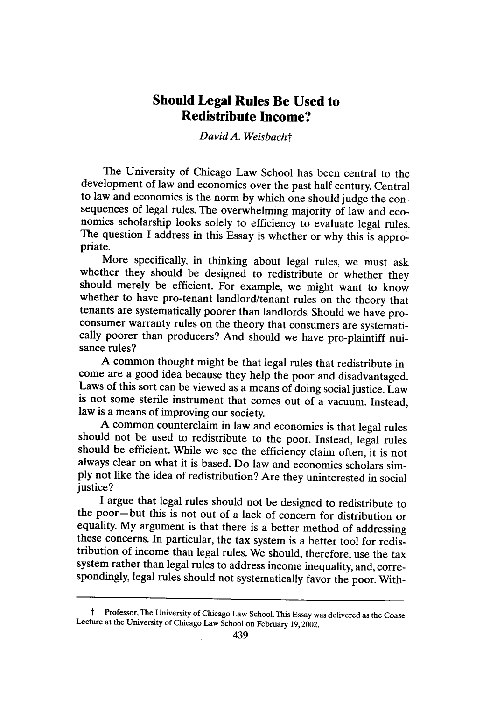## **Should Legal Rules Be Used to Redistribute Income?**

*David A. Weisbacht*

The University of Chicago Law School has been central to the development of law and economics over the past half century. Central to law and economics is the norm by which one should judge the consequences of legal rules. The overwhelming majority of law and economics scholarship looks solely to efficiency to evaluate legal rules. The question I address in this Essay is whether or why this is appro- priate.

More specifically, in thinking about legal rules, we must ask whether they should be designed to redistribute or whether they should merely be efficient. For example, we might want to know whether to have pro-tenant landlord/tenant rules on the theory that tenants are systematically poorer than landlords. Should we have proconsumer warranty rules on the theory that consumers are systemati- cally poorer than producers? And should we have pro-plaintiff nuisance rules?

A common thought might be that legal rules that redistribute income are a good idea because they help the poor and disadvantaged. Laws of this sort can be viewed as a means of doing social justice. Law is not some sterile instrument that comes out of a vacuum. Instead, law is a means of improving our society.

A common counterclaim in law and economics is that legal rules should not be used to redistribute to the poor. Instead, legal rules should be efficient. While we see the efficiency claim often, it is not always clear on what it is based. Do law and economics scholars simply not like the idea of redistribution? Are they uninterested in social justice?

I argue that legal rules should not be designed to redistribute to the poor-but this is not out of a lack of concern for distribution or equality. My argument is that there is a better method of addressing these concerns. In particular, the tax system is a better tool for redistribution of income than legal rules. We should, therefore, use the tax system rather than legal rules to address income inequality, and, correspondingly, legal rules should not systematically favor the poor. With-

t Professor, The University of Chicago Law School. This Essay was delivered as the Coase Lecture at the University of Chicago Law School on February 19,2002.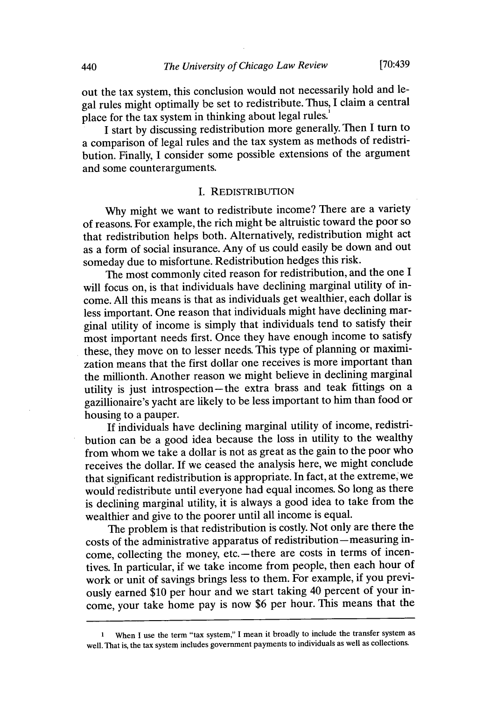out the tax system, this conclusion would not necessarily hold and legal rules might optimally be set to redistribute. Thus, I claim a central place for the tax system in thinking about legal rules.<sup>1</sup>

I start by discussing redistribution more generally. Then I turn to a comparison of legal rules and the tax system as methods of redistribution. Finally, I consider some possible extensions of the argument and some counterarguments.

#### I. REDISTRIBUTION

Why might we want to redistribute income? There are a variety of reasons. For example, the rich might be altruistic toward the poor so that redistribution helps both. Alternatively, redistribution might act as a form of social insurance. Any of us could easily be down and out someday due to misfortune. Redistribution hedges this risk.

The most commonly cited reason for redistribution, and the one I will focus on, is that individuals have declining marginal utility of income. All this means is that as individuals get wealthier, each dollar is less important. One reason that individuals might have declining marginal utility of income is simply that individuals tend to satisfy their most important needs first. Once they have enough income to satisfy these, they move on to lesser needs. This type of planning or maximization means that the first dollar one receives is more important than the millionth. Another reason we might believe in declining marginal utility is just introspection-the extra brass and teak fittings on a gazillionaire's yacht are likely to be less important to him than food or housing to a pauper.

If individuals have declining marginal utility of income, redistribution can be a good idea because the loss in utility to the wealthy from whom we take a dollar is not as great as the gain to the poor who receives the dollar. If we ceased the analysis here, we might conclude that significant redistribution is appropriate. In fact, at the extreme, we would redistribute until everyone had equal incomes. So long as there is declining marginal utility, it is always a good idea to take from the wealthier and give to the poorer until all income is equal.

The problem is that redistribution is costly. Not only are there the costs of the administrative apparatus of redistribution-measuring income, collecting the money, etc. - there are costs in terms of incentives. In particular, if we take income from people, then each hour of work or unit of savings brings less to them. For example, if you previously earned \$10 per hour and we start taking 40 percent of your income, your take home pay is now \$6 per hour. This means that the

**<sup>1</sup>**When **I** use the term "tax system," **I** mean it broadly to include the transfer system as well. **That** is, the tax system includes government payments to individuals as well as collections.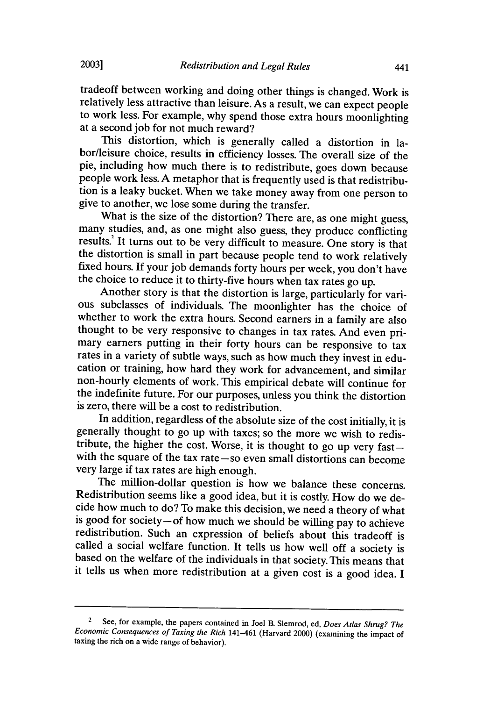tradeoff between working and doing other things is changed. Work is relatively less attractive than leisure. As a result, we can expect people to work less. For example, why spend those extra hours moonlighting at a second job for not much reward?

This distortion, which is generally called a distortion in labor/leisure choice, results in efficiency losses. The overall size of the pie, including how much there is to redistribute, goes down because people work less. A metaphor that is frequently used is that redistribution is a leaky bucket. When we take money away from one person to give to another, we lose some during the transfer.

What is the size of the distortion? There are, as one might guess, many studies, and, as one might also guess, they produce conflicting results.<sup>2</sup> It turns out to be very difficult to measure. One story is that the distortion is small in part because people tend to work relatively fixed hours. If your job demands forty hours per week, you don't have the choice to reduce it to thirty-five hours when tax rates go up. Another story is that the distortion is large, particularly for vari-

ous subclasses of individuals. The moonlighter has the choice of whether to work the extra hours. Second earners in a family are also thought to be very responsive to changes in tax rates. And even primary earners putting in their forty hours can be responsive to tax rates in a variety of subtle ways, such as how much they invest in education or training, how hard they work for advancement, and similar non-hourly elements of work. This empirical debate will continue for the indefinite future. For our purposes, unless you think the distortion is zero, there will be a cost to redistribution.

In addition, regardless of the absolute size of the cost initially, it is generally thought to go up with taxes; so the more we wish to redistribute, the higher the cost. Worse, it is thought to go up very fastwith the square of the tax rate **-so** even small distortions can become very large if tax rates are high enough.

The million-dollar question is how we balance these concerns. Redistribution seems like a good idea, but it is costly. How do we decide how much to do? To make this decision, we need a theory of what is good for society-of how much we should be willing pay to achieve redistribution. Such an expression of beliefs about this tradeoff is called a social welfare function. It tells us how well off a society is based on the welfare of the individuals in that society. This means that it tells us when more redistribution at a given cost is a good idea. I

**2003]**

<sup>2</sup>See, for example, the papers contained in Joel B. Slemrod, ed, *Does Atlas Shrug? The Economic Consequences of Taxing the Rich* 141-461 (Harvard 2000) (examining the impact of taxing the rich on a wide range of behavior).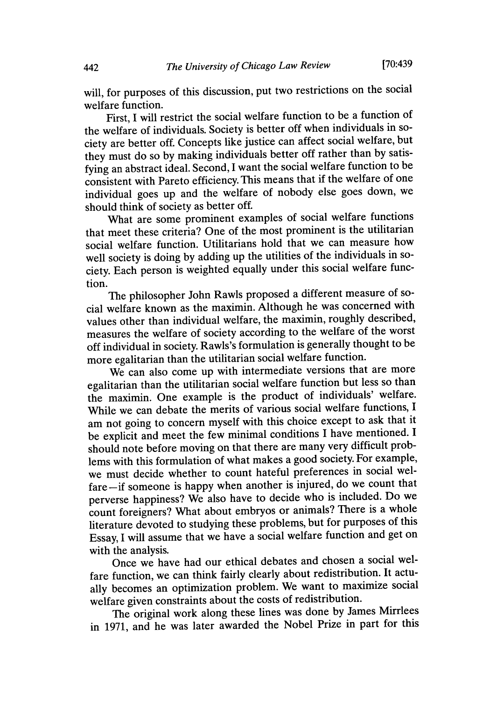will, for purposes of this discussion, put two restrictions on the social welfare function.

First, I will restrict the social welfare function to be a function of the welfare of individuals. Society is better off when individuals in society are better off. Concepts like justice can affect social welfare, but they must do so by making individuals better off rather than by satisfying an abstract ideal. Second, I want the social welfare function to be consistent with Pareto efficiency. This means that if the welfare of one individual goes up and the welfare of nobody else goes down, we should think of society as better off.

What are some prominent examples of social welfare functions that meet these criteria? One of the most prominent is the utilitarian social welfare function. Utilitarians hold that we can measure how well society is doing by adding up the utilities of the individuals in society. Each person is weighted equally under this social welfare function.

The philosopher John Rawls proposed a different measure of social welfare known as the maximin. Although he was concerned with values other than individual welfare, the maximin, roughly described, measures the welfare of society according to the welfare of the worst off individual in society. Rawls's formulation is generally thought to be more egalitarian than the utilitarian social welfare function.

We can also come up with intermediate versions that are more egalitarian than the utilitarian social welfare function but less so than the maximin. One example is the product of individuals' welfare. While we can debate the merits of various social welfare functions, I am not going to concern myself with this choice except to ask that it be explicit and meet the few minimal conditions I have mentioned. I should note before moving on that there are many very difficult problems with this formulation of what makes a good society. For example, we must decide whether to count hateful preferences in social welfare-if someone is happy when another is injured, do we count that perverse happiness? We also have to decide who is included. Do we count foreigners? What about embryos or animals? There is a whole literature devoted to studying these problems, but for purposes of this Essay, I will assume that we have a social welfare function and get on with the analysis.

Once we have had our ethical debates and chosen a social welfare function, we can think fairly clearly about redistribution. It actually becomes an optimization problem. We want to maximize social welfare given constraints about the costs of redistribution.

The original work along these lines was done by James Mirrlees in 1971, and he was later awarded the Nobel Prize in part for this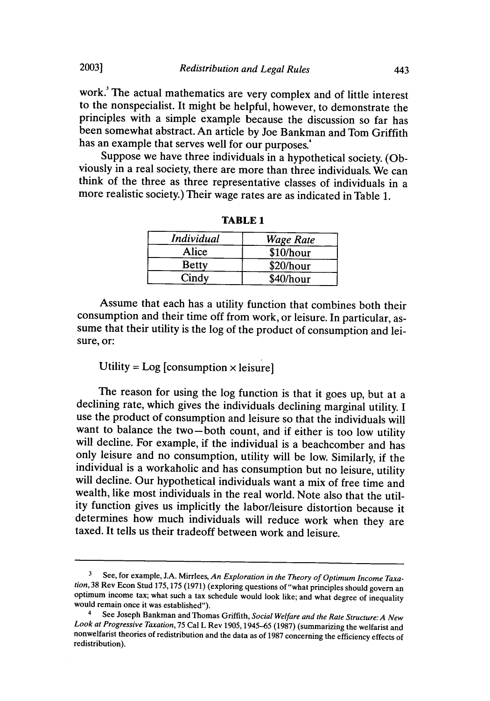work.' The actual mathematics are very complex and of little interest to the nonspecialist. It might be helpful, however, to demonstrate the principles with a simple example because the discussion so far has been somewhat abstract. An article by Joe Bankman and Tom Griffith has an example that serves well for our purposes.'<br>Suppose we have three individuals in a hypothetical society. (Ob-

viously in a real society, there are more than three individuals. We can think of the three as three representative classes of individuals in a more realistic society.) Their wage rates are as indicated in Table 1.

| Individual   | <b>Wage Rate</b> |  |
|--------------|------------------|--|
| Alice        | \$10/hour        |  |
| <b>Betty</b> | \$20/hour        |  |
| Cindy        | \$40/hour        |  |

**TABLE 1**

Assume that each has a utility function that combines both their consumption and their time off from work, or leisure. In particular, assume that their utility is the log of the product of consumption and leisure, or:

## Utility =  $Log$  [consumption  $\times$  leisure]

The reason for using the log function is that it goes up, but at a declining rate, which gives the individuals declining marginal utility. I use the product of consumption and leisure so that the individuals will want to balance the two-both count, and if either is too low utility will decline. For example, if the individual is a beachcomber and has only leisure and no consumption, utility will be low. Similarly, if the individual is a workaholic and has consumption but no leisure, utility will decline. Our hypothetical individuals want a mix of free time and wealth, like most individuals in the real world. Note also that the utility function gives us implicitly the labor/leisure distortion because it determines how much individuals will reduce work when they are taxed. It tells us their tradeoff between work and leisure.

**20031**

<sup>3</sup> See, for example, J.A. Mirrlees, *An Exploration in the Theory of Optimum Income Taxation,* 38 Rev Econ Stud 175,175 (1971) (exploring questions of "what principles should govern an optimum income tax; what such a tax schedule would look like; and what degree of inequality would remain once it was established").

<sup>4</sup>See Joseph Bankman and Thomas Griffith, *Social Welfare and the Rate Structure: A New Look at Progressive Taxation,* 75 Cal L Rev 1905, 1945-65 (1987) (summarizing the welfarist and nonwelfarist theories of redistribution and the data as of 1987 concerning the efficiency effects of redistribution).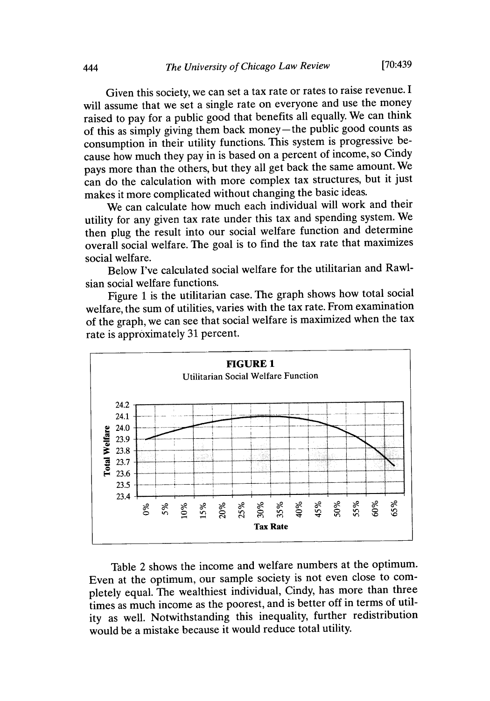Given this society, we can set a tax rate or rates to raise revenue. I will assume that we set a single rate on everyone and use the money raised to pay for a public good that benefits all equally. We can think of this as simply giving them back money-the public good counts as consumption in their utility functions. This system is progressive because how much they pay in is based on a percent of income, so Cindy pays more than the others, but they all get back the same amount. We can do the calculation with more complex tax structures, but it just makes it more complicated without changing the basic ideas.

We can calculate how much each individual will work and their utility for any given tax rate under this tax and spending system. We then plug the result into our social welfare function and determine overall social welfare. The goal is to find the tax rate that maximizes social welfare.

Below I've calculated social welfare for the utilitarian and Rawlsian social welfare functions.

Figure 1 is the utilitarian case. The graph shows how total social welfare, the sum of utilities, varies with the tax rate. From examination of the graph, we can see that social welfare is maximized when the tax rate is approximately 31 percent.



Table 2 shows the income and welfare numbers at the optimum. Even at the optimum, our sample society is not even close to completely equal. The wealthiest individual, Cindy, has more than three times as much income as the poorest, and is better off in terms of utility as well. Notwithstanding this inequality, further redistribution would be a mistake because it would reduce total utility.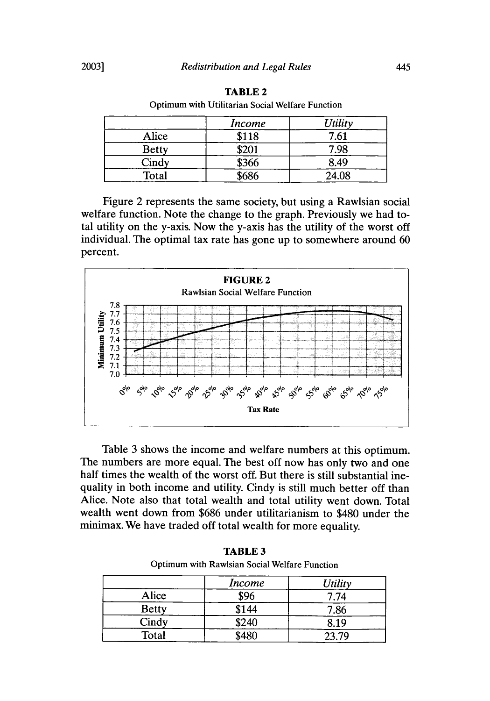|              | <b>Income</b> | <b>Utility</b> |
|--------------|---------------|----------------|
| Alice        | \$118         | 7.61           |
| <b>Betty</b> | \$201         | 7.98           |
| Cindy        | \$366         | 8.49           |
| Total        | \$686         | 24.08          |

**TABLE 2** Optimum with Utilitarian Social Welfare Function

Figure 2 represents the same society, but using a Rawlsian social welfare function. Note the change to the graph. Previously we had total utility on the y-axis. Now the y-axis has the utility of the worst off individual. The optimal tax rate has gone up to somewhere around 60 percent.



Table 3 shows the income and welfare numbers at this optimum. The numbers are more equal. The best off now has only two and one half times the wealth of the worst off. But there is still substantial inequality in both income and utility. Cindy is still much better off than Alice. Note also that total wealth and total utility went down. Total wealth went down from \$686 under utilitarianism to \$480 under the minimax. We have traded off total wealth for more equality.

| Optimum with Rawlsian Social Welfare Function |               |         |
|-----------------------------------------------|---------------|---------|
|                                               | <i>Income</i> | Utility |
| Alice                                         | \$96          | 7.74    |
| <b>Betty</b>                                  | \$144         | 7.86    |
| Cindy                                         | \$240         | 8.19    |
| Total                                         | \$480         | 23.79   |

**TABLE 3** Optimum with Rawlsian Social Welfare Function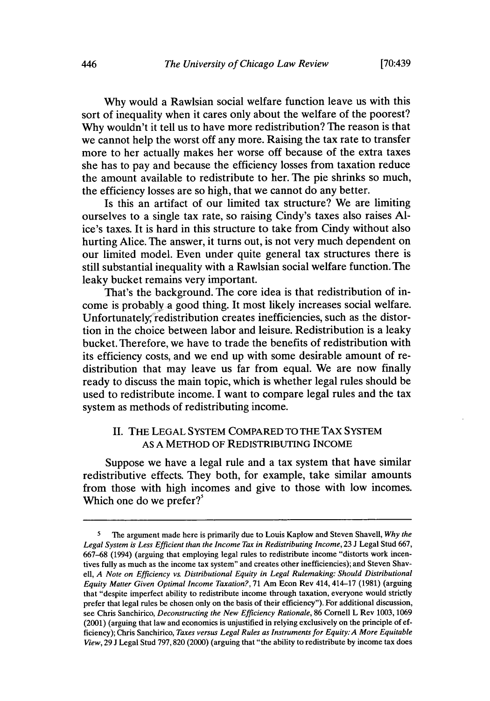Why would a Rawlsian social welfare function leave us with this sort of inequality when it cares only about the welfare of the poorest? Why wouldn't it tell us to have more redistribution? The reason is that we cannot help the worst off any more. Raising the tax rate to transfer more to her actually makes her worse off because of the extra taxes she has to pay and because the efficiency losses from taxation reduce the amount available to redistribute to her. The pie shrinks so much, the efficiency losses are so high, that we cannot do any better.

Is this an artifact of our limited tax structure? We are limiting ourselves to a single tax rate, so raising Cindy's taxes also raises Alice's taxes. It is hard in this structure to take from Cindy without also hurting Alice. The answer, it turns out, is not very much dependent on our limited model. Even under quite general tax structures there is still substantial inequality with a Rawlsian social welfare function. The leaky bucket remains very important.

That's the background. The core idea is that redistribution of income is probably a good thing. It most likely increases social welfare. Unfortunately'redistribution creates inefficiencies, such as the distortion in the choice between labor and leisure. Redistribution is a leaky bucket. Therefore, we have to trade the benefits of redistribution with its efficiency costs, and we end up with some desirable amount of redistribution that may leave us far from equal. We are now finally ready to discuss the main topic, which is whether legal rules should be used to redistribute income. I want to compare legal rules and the tax system as methods of redistributing income.

### II. THE LEGAL SYSTEM COMPARED TO THE TAX SYSTEM AS A METHOD OF REDISTRIBUTING INCOME

Suppose we have a legal rule and a tax system that have similar redistributive effects. They both, for example, take similar amounts from those with high incomes and give to those with low incomes. Which one do we prefer? $5$ 

<sup>5</sup> The argument made here is primarily due to Louis Kaplow and Steven Shavell, *Why the* Legal System is Less Efficient than the Income Tax in Redistributing Income, 23 J Legal Stud 667, 667-68 (1994) (arguing that employing legal rules to redistribute income "distorts work incentives fully as much as the income tax system" and creates other inefficiencies); and Steven Shavell, **A** *Note on Efficiency vs. Distributional Equity in Legal Rulemaking:* Should *Distributional Equity* Matter Given *Optimal Income* Taxation?, 71 Am Econ Rev 414, 414-17 (1981) (arguing that "despite imperfect ability to redistribute income through taxation, everyone would strictly prefer that legal rules be chosen only on the basis of their efficiency"). For additional discussion, see Chris Sanchirico, *Deconstructing the New Efficiency Rationale,* 86 Cornell L Rev 1003, 1069 (2001) (arguing that law and economics is unjustified in relying exclusively on the principle of efficiency); Chris Sanchirico, *Taxes versus Legal Rules as Instruments for Equity: A More Equitable View,* 29 J Legal Stud 797,820 (2000) (arguing that "the ability to redistribute by income tax does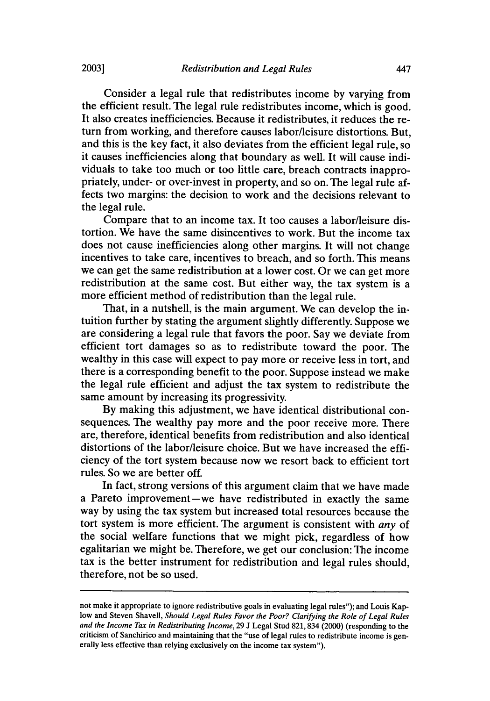Consider a legal rule that redistributes income by varying from the efficient result. The legal rule redistributes income, which is good. It also creates inefficiencies. Because it redistributes, it reduces the return from working, and therefore causes labor/leisure distortions. But, and this is the key fact, it also deviates from the efficient legal rule, so it causes inefficiencies along that boundary as well. It will cause individuals to take too much or too little care, breach contracts inappropriately, under- or over-invest in property, and so on. The legal rule affects two margins: the decision to work and the decisions relevant to the legal rule.

Compare that to an income tax. It too causes a labor/leisure distortion. We have the same disincentives to work. But the income tax does not cause inefficiencies along other margins. It will not change incentives to take care, incentives to breach, and so forth. This means we can get the same redistribution at a lower cost. Or we can get more redistribution at the same cost. But either way, the tax system is a more efficient method of redistribution than the legal rule.

That, in a nutshell, is the main argument. We can develop the intuition further by stating the argument slightly differently. Suppose we are considering a legal rule that favors the poor. Say we deviate from efficient tort damages so as to redistribute toward the poor. The wealthy in this case will expect to pay more or receive less in tort, and there is a corresponding benefit to the poor. Suppose instead we make the legal rule efficient and adjust the tax system to redistribute the same amount by increasing its progressivity.

By making this adjustment, we have identical distributional consequences. The wealthy pay more and the poor receive more. There are, therefore, identical benefits from redistribution and also identical distortions of the labor/leisure choice. But we have increased the efficiency of the tort system because now we resort back to efficient tort rules. So we are better off.

In fact, strong versions of this argument claim that we have made a Pareto improvement-we have redistributed in exactly the same way by using the tax system but increased total resources because the tort system is more efficient. The argument is consistent with *any* of the social welfare functions that we might pick, regardless of how egalitarian we might be. Therefore, we get our conclusion: The income tax is the better instrument for redistribution and legal rules should, therefore, not be so used.

not make it appropriate to ignore redistributive goals in evaluating legal rules"); and Louis Kaplow and Steven Shavell, *Should Legal Rules Favor the Poor? Clarifying the Role of Legal Rules and the Income Tax in Redistributing Income,* 29 J Legal Stud 821,834 (2000) (responding to the criticism of Sanchirico and maintaining that the "use of legal rules to redistribute income is generally less effective than relying exclusively on the income tax system").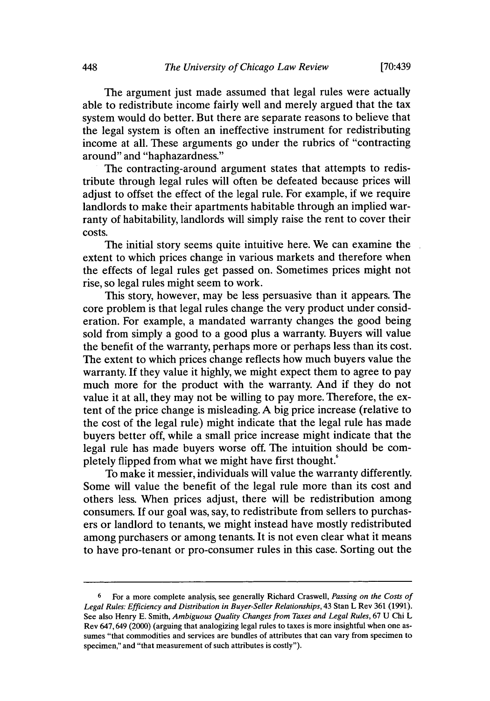**[70:439**

The argument just made assumed that legal rules were actually able to redistribute income fairly well and merely argued that the tax system would do better. But there are separate reasons to believe that the legal system is often an ineffective instrument for redistributing income at all. These arguments go under the rubrics of "contracting around" and "haphazardness."

The contracting-around argument states that attempts to redistribute through legal rules will often be defeated because prices will adjust to offset the effect of the legal rule. For example, if we require landlords to make their apartments habitable through an implied warranty of habitability, landlords will simply raise the rent to cover their costs.

The initial story seems quite intuitive here. We can examine the extent to which prices change in various markets and therefore when the effects of legal rules get passed on. Sometimes prices might not rise, so legal rules might seem to work.

This story, however, may be less persuasive than it appears. The core problem is that legal rules change the very product under consideration. For example, a mandated warranty changes the good being sold from simply a good to a good plus a warranty. Buyers will value the benefit of the warranty, perhaps more or perhaps less than its cost. The extent to which prices change reflects how much buyers value the warranty. If they value it highly, we might expect them to agree to pay much more for the product with the warranty. And if they do not value it at all, they may not be willing to pay more. Therefore, the extent of the price change is misleading. A big price increase (relative to the cost of the legal rule) might indicate that the legal rule has made buyers better off, while a small price increase might indicate that the legal rule has made buyers worse off. The intuition should be completely flipped from what we might have first thought.<sup>6</sup>

To make it messier, individuals will value the warranty differently. Some will value the benefit of the legal rule more than its cost and others less. When prices adjust, there will be redistribution among consumers. If our goal was, say, to redistribute from sellers to purchasers or landlord to tenants, we might instead have mostly redistributed among purchasers or among tenants. It is not even clear what it means to have pro-tenant or pro-consumer rules in this case. Sorting out the

**<sup>6</sup>** For a more complete analysis, see generally Richard Craswell, *Passing on the Costs of* Legal Rules: Efficiency and Distribution in Buyer-Seller Relationships, 43 Stan L Rev 361 (1991). See also Henry E. Smith, *Ambiguous Quality Changes from Taxes and Legal Rules,* 67 U Chi L Rev 647,649 (2000) (arguing that analogizing legal rules to taxes is more insightful when one assumes "that commodities and services are bundles of attributes that can vary from specimen to specimen," and "that measurement of such attributes is costly").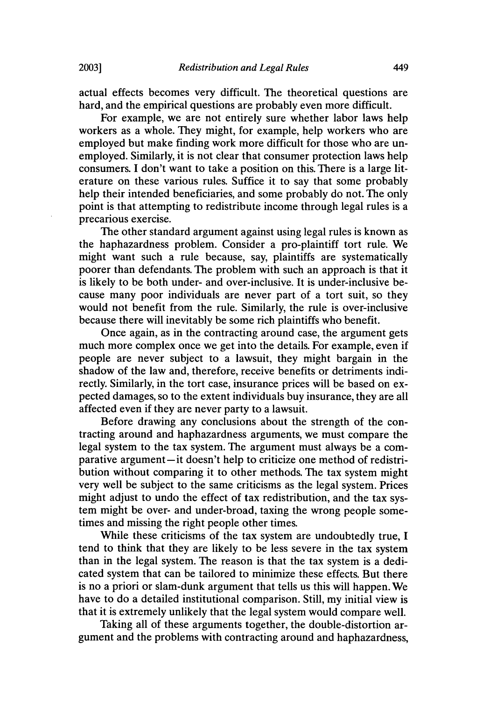actual effects becomes very difficult. The theoretical questions are hard, and the empirical questions are probably even more difficult.

For example, we are not entirely sure whether labor laws help workers as a whole. They might, for example, help workers who are employed but make finding work more difficult for those who are unemployed. Similarly, it is not clear that consumer protection laws help consumers. I don't want to take a position on this. There is a large literature on these various rules. Suffice it to say that some probably help their intended beneficiaries, and some probably do not. The only point is that attempting to redistribute income through legal rules is a precarious exercise.

The other standard argument against using legal rules is known as the haphazardness problem. Consider a pro-plaintiff tort rule. We might want such a rule because, say, plaintiffs are systematically poorer than defendants. The problem with such an approach is that it is likely to be both under- and over-inclusive. It is under-inclusive because many poor individuals are never part of a tort suit, so they would not benefit from the rule. Similarly, the rule is over-inclusive because there will inevitably be some rich plaintiffs who benefit.

Once again, as in the contracting around case, the argument gets much more complex once we get into the details. For example, even if people are never subject to a lawsuit, they might bargain in the shadow of the law and, therefore, receive benefits or detriments indirectly. Similarly, in the tort case, insurance prices will be based on expected damages, so to the extent individuals buy insurance, they are all affected even if they are never party to a lawsuit.

Before drawing any conclusions about the strength of the contracting around and haphazardness arguments, we must compare the legal system to the tax system. The argument must always be a comparative argument-it doesn't help to criticize one method of redistribution without comparing it to other methods. The tax system might very well be subject to the same criticisms as the legal system. Prices might adjust to undo the effect of tax redistribution, and the tax system might be over- and under-broad, taxing the wrong people sometimes and missing the right people other times.

While these criticisms of the tax system are undoubtedly true, I tend to think that they are likely to be less severe in the tax system than in the legal system. The reason is that the tax system is a dedicated system that can be tailored to minimize these effects. But there is no a priori or slam-dunk argument that tells us this will happen. We have to do a detailed institutional comparison. Still, my initial view is that it is extremely unlikely that the legal system would compare well.

Taking all of these arguments together, the double-distortion argument and the problems with contracting around and haphazardness,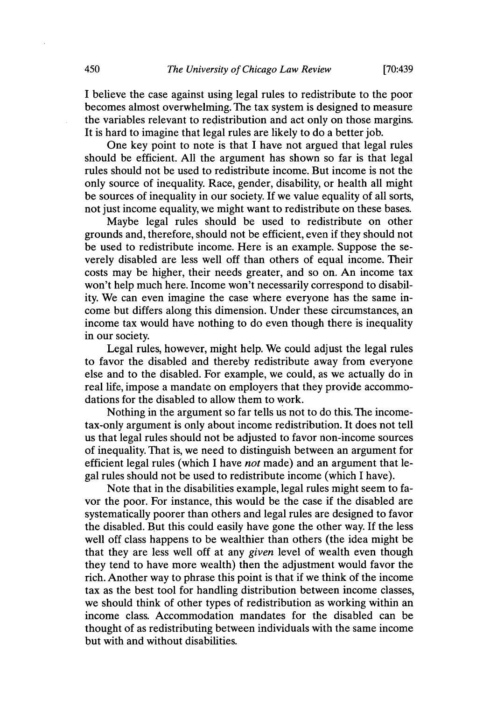I believe the case against using legal rules to redistribute to the poor becomes almost overwhelming. The tax system is designed to measure the variables relevant to redistribution and act only on those margins. It is hard to imagine that legal rules are likely to do a better job.

One key point to note is that I have not argued that legal rules should be efficient. All the argument has shown so far is that legal rules should not be used to redistribute income. But income is not the only source of inequality. Race, gender, disability, or health all might be sources of inequality in our society. If we value equality of all sorts, not just income equality, we might want to redistribute on these bases.

Maybe legal rules should be used to redistribute on other grounds and, therefore, should not be efficient, even if they should not be used to redistribute income. Here is an example. Suppose the severely disabled are less well off than others of equal income. Their costs may be higher, their needs greater, and so on. An income tax won't help much here. Income won't necessarily correspond to disability. We can even imagine the case where everyone has the same income but differs along this dimension. Under these circumstances, an income tax would have nothing to do even though there is inequality in our society.

Legal rules, however, might help. We could adjust the legal rules to favor the disabled and thereby redistribute away from everyone else and to the disabled. For example, we could, as we actually do in real life, impose a mandate on employers that they provide accommodations for the disabled to allow them to work.

Nothing in the argument so far tells us not to do this. The incometax-only argument is only about income redistribution. It does not tell us that legal rules should not be adjusted to favor non-income sources of inequality. That is, we need to distinguish between an argument for efficient legal rules (which I have *not* made) and an argument that legal rules should not be used to redistribute income (which I have).

Note that in the disabilities example, legal rules might seem to favor the poor. For instance, this would be the case if the disabled are systematically poorer than others and legal rules are designed to favor the disabled. But this could easily have gone the other way. If the less well off class happens to be wealthier than others (the idea might be that they are less well off at any *given* level of wealth even though they tend to have more wealth) then the adjustment would favor the rich. Another way to phrase this point is that if we think of the income tax as the best tool for handling distribution between income classes, we should think of other types of redistribution as working within an income class. Accommodation mandates for the disabled can be thought of as redistributing between individuals with the same income but with and without disabilities.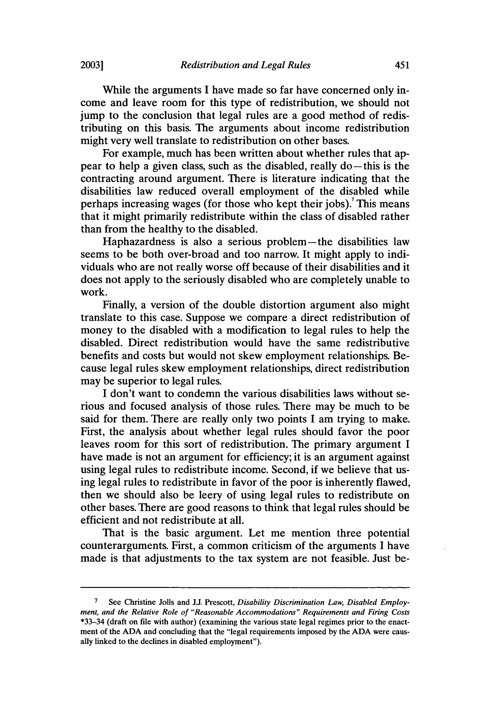While the arguments I have made so far have concerned only income and leave room for this type of redistribution, we should not jump to the conclusion that legal rules are a good method of redistributing on this basis. The arguments about income redistribution might very well translate to redistribution on other bases.

For example, much has been written about whether rules that appear to help a given class, such as the disabled, really  $do$ —this is the contracting around argument. There is literature indicating that the disabilities law reduced overall employment of the disabled while perhaps increasing wages (for those who kept their jobs).<sup>7</sup> This means that it might primarily redistribute within the class of disabled rather than from the healthy to the disabled.

Haphazardness is also a serious problem-the disabilities law seems to be both over-broad and too narrow. It might apply to individuals who are not really worse off because of their disabilities and it does not apply to the seriously disabled who are completely unable to work.

Finally, a version of the double distortion argument also might translate to this case. Suppose we compare a direct redistribution of money to the disabled with a modification to legal rules to help the disabled. Direct redistribution would have the same redistributive benefits and costs but would not skew employment relationships. Because legal rules skew employment relationships, direct redistribution may be superior to legal rules.

I don't want to condemn the various disabilities laws without serious and focused analysis of those rules. There may be much to be said for them. There are really only two points I am trying to make. First, the analysis about whether legal rules should favor the poor leaves room for this sort of redistribution. The primary argument I have made is not an argument for efficiency; it is an argument against using legal rules to redistribute income. Second, if we believe that using legal rules to redistribute in favor of the poor is inherently flawed, then we should also be leery of using legal rules to redistribute on other bases. There are good reasons to think that legal rules should be efficient and not redistribute at all.

That is the basic argument. Let me mention three potential counterarguments. First, a common criticism of the arguments I have made is that adjustments to the tax system are not feasible. Just be-

**<sup>7</sup>** See Christine Jolls and J.J. Prescott, *Disability Discrimination Law, Disabled Employment, and the Relative Role of "Reasonable Accommodations" Requirements and Firing Costs* \*33-34 (draft on file with author) (examining the various state legal regimes prior to the enactment of the ADA and concluding that the "legal requirements imposed by the ADA were causally linked to the declines in disabled employment").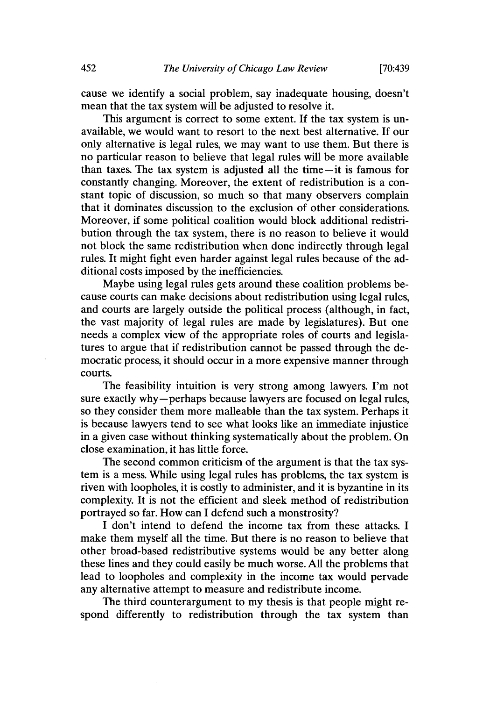cause we identify a social problem, say inadequate housing, doesn't mean that the tax system will be adjusted to resolve it.

This argument is correct to some extent. If the tax system is unavailable, we would want to resort to the next best alternative. If our only alternative is legal rules, we may want to use them. But there is no particular reason to believe that legal rules will be more available than taxes. The tax system is adjusted all the time-it is famous for constantly changing. Moreover, the extent of redistribution is a constant topic of discussion, so much so that many observers complain that it dominates discussion to the exclusion of other considerations. Moreover, if some political coalition would block additional redistribution through the tax system, there is no reason to believe it would not block the same redistribution when done indirectly through legal rules. It might fight even harder against legal rules because of the additional costs imposed by the inefficiencies.

Maybe using legal rules gets around these coalition problems because courts can make decisions about redistribution using legal rules, and courts are largely outside the political process (although, in fact, the vast majority of legal rules are made by legislatures). But one needs a complex view of the appropriate roles of courts and legislatures to argue that if redistribution cannot be passed through the democratic process, it should occur in a more expensive manner through courts.

The feasibility intuition is very strong among lawyers. I'm not sure exactly why-perhaps because lawyers are focused on legal rules, so they consider them more malleable than the tax system. Perhaps it is because lawyers tend to see what looks like an immediate injustice in a given case without thinking systematically about the problem. On close examination, it has little force.

The second common criticism of the argument is that the tax system is a mess. While using legal rules has problems, the tax system is riven with loopholes, it is costly to administer, and it is byzantine in its complexity. It is not the efficient and sleek method of redistribution portrayed so far. How can I defend such a monstrosity?

I don't intend to defend the income tax from these attacks. I make them myself all the time. But there is no reason to believe that other broad-based redistributive systems would be any better along these lines and they could easily be much worse. All the problems that lead to loopholes and complexity in the income tax would pervade any alternative attempt to measure and redistribute income.

The third counterargument to my thesis is that people might respond differently to redistribution through the tax system than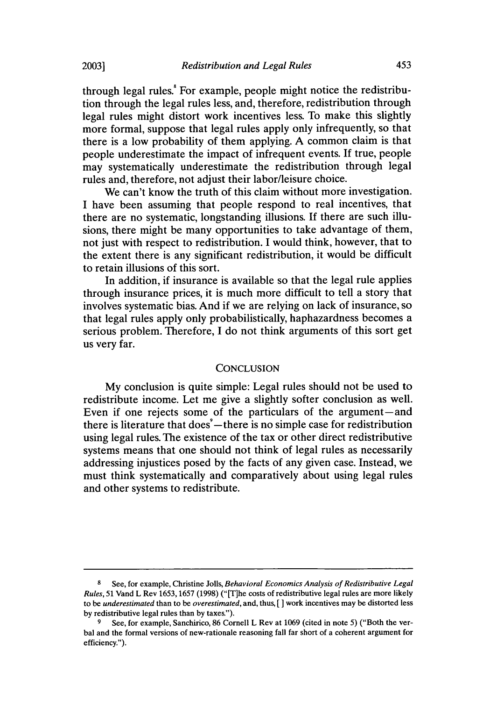through legal rules.<sup>8</sup> For example, people might notice the redistribution through the legal rules less, and, therefore, redistribution through legal rules might distort work incentives less. To make this slightly more formal, suppose that legal rules apply only infrequently, so that there is a low probability of them applying. A common claim is that people underestimate the impact of infrequent events. If true, people may systematically underestimate the redistribution through legal rules and, therefore, not adjust their labor/leisure choice.

We can't know the truth of this claim without more investigation. I have been assuming that people respond to real incentives, that there are no systematic, longstanding illusions. If there are such illusions, there might be many opportunities to take advantage of them, not just with respect to redistribution. I would think, however, that to the extent there is any significant redistribution, it would be difficult to retain illusions of this sort.

In addition, if insurance is available so that the legal rule applies through insurance prices, it is much more difficult to tell a story that involves systematic bias. And if we are relying on lack of insurance, so that legal rules apply only probabilistically, haphazardness becomes a serious problem. Therefore, I do not think arguments of this sort get us very far.

#### **CONCLUSION**

My conclusion is quite simple: Legal rules should not be used to redistribute income. Let me give a slightly softer conclusion as well. Even if one rejects some of the particulars of the argument-and there is literature that does $^{\circ}$  - there is no simple case for redistribution using legal rules. The existence of the tax or other direct redistributive systems means that one should not think of legal rules as necessarily addressing injustices posed by the facts of any given case. Instead, we must think systematically and comparatively about using legal rules and other systems to redistribute.

<sup>8</sup> See, for example, Christine Jolls, Behavioral *Economics Analysis of Redistributive Legal* Rules, 51 Vand L Rev 1653, 1657 (1998) ("[T]he costs of redistributive legal rules are more likely to be *underestimated* than to be *overestimated,* and, thus, *[* work incentives may be distorted less by redistributive legal rules than by taxes.").

**<sup>9</sup>** See, for example, Sanchirico, 86 Cornell L Rev at 1069 (cited in note 5) ("Both the verbal and the formal versions of new-rationale reasoning fall far short of a coherent argument for efficiency.").